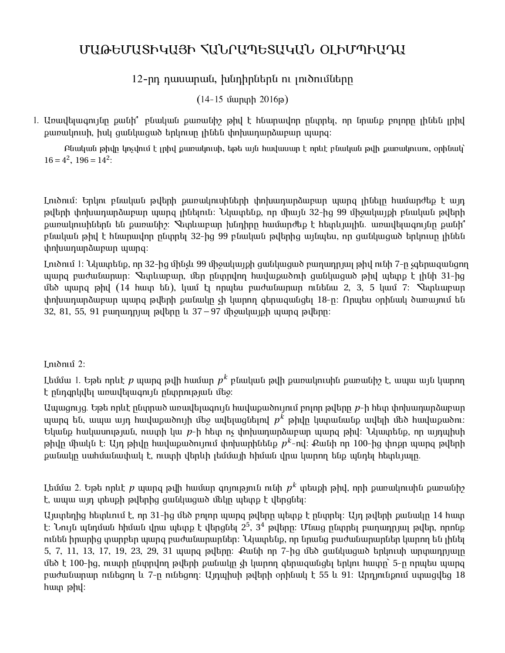## ՄԱԹԵՄԱՏԻԿԱՅԻ ՀԱՆՐԱՊԵՏԱԿԱՆ ՕԼԻՄՊԻԱԴԱ

## 12-րդ դասարան, խնդիրներն ու լուծումները

 $(14-15 \text{ uunuph } 2016 \text{p})$ 

1. Առավելագույնը քանի՞ բնական քառանիշ թիվ է հնարավոր ընտրել, որ նրանք բոլորը լինեն լրիվ քառակուսի, իսկ ցանկացած երկուսը լինեն փոխադարձաբար պարզ:

Aնական թիվը կոչվում է լրիվ քառակուսի, եթե այն հավասար է որևէ բնական թվի քառակուսու, օրինակ`  $16 = 4^2$ ,  $196 = 14^2$ :

Լուծում։ Երկու բնական թվերի քառակուսիների փոխադարձաբար պարզ լինելը համարժեք է այդ թվերի փոխադարձաբար պարզ լինելուն։ Նկատենք, որ միայն 32-ից 99 միջակայքի բնական թվերի <u>ք</u>առակուսիներն են քառանիշ։ Տետևաբար խնդիրը համարժեք է հետևյալին. առավելագույնը քանի՞ բնական թիվ է հնարավոր ընտրել 32-ից 99 բնական թվերից այնպես, որ ցանկացած երկուսը լինեն փոխադարձաբար պարզ։

Lուծում 1: Նկատենք, որ 32-ից մինչև 99 միջակայքի ցանկացած բաղադրյալ թիվ ունի 7-ը չգերազանցող պարզ բաժանարար։ Տետևաբար, մեր ընտրվող հավաքածուի ցանկացած թիվ պետք է լինի 31-ից մեծ պարզ թիվ (14 հատ են), կամ էլ որպես բաժանարար ունենա 2, 3, 5 կամ 7։ Տետևաբար փոխադարձաբար պարզ թվերի քանակը չի կարող գերազանցել 18-ը։ Որպես օրինակ ծառայում են 32, 81, 55, 91 pununnjun pultin u 37−97 unoulung parang pulting:

## Lnıdnıu<sup>2:</sup>

Լեմմա 1. Եթե որևէ  $p$  պարզ թվի համար  $p^k$  բնական թվի քառակուսին քառանիշ է, ապա այն կարող է ընդգրկվել առավելագույն ընտրության մեջ։

Uwwgnyg. Եթե որևէ ընտրած առավելագույն հավաքածույում բոլոր թվերը *p*-ի հետ փոխադարձաբար պարզ են, ապա այդ հավաքածույի մեջ ավելացնելով  $p^k$  թիվը կստանանք ավելի մեծ հավաքածու։  $E$ կանք hակասության, ուստի կա  $p$ -ի hետ ոչ փոխադարձաբար պարզ թիվ: Նկատենք, որ այդպիսի թիվը միակն է։ Այդ թիվը հավաքածույում փոխարինենք  $p^k$ -ով։ Քանի որ 100-ից փոքր պարզ թվերի քանակը սահմանափակ է, ուստի վերևի լեմմայի հիման վրա կարող ենք պնդել հետևյալը.

Լեմմա 2. Եթե որևէ  $p$  պարզ թվի համար գոյություն ունի  $p^k$  տեսքի թիվ, որի քառակուսին քառանիշ է, ապա այդ տեսքի թվերից ցանկացած մեկը պետք է վերցնել։

 $U$ յստեղից հետևում է, որ 31-ից մեծ բոլոր պարզ թվերը պետք է ընտրել։ Այդ թվերի քանակը 14 հատ է։ Նույն պնդման հիման վրա պետք է վերցնել 2<sup>5</sup>, 3<sup>4</sup> թվերը։ Մնաց ընտրել բաղադրյալ թվեր, որոնք ունեն իրարից տարբեր պարզ բաժանարարներ։ Նկատենք, որ նրանց բաժանարարներ կարող են լինել 5, 7, 11, 13, 17, 19, 23, 29, 31 պարզ թվերը։ Քանի որ 7-ից մեծ ցանկացած երկուսի արտադրյալը մեծ է 100-ից, ուստի ընտրվող թվերի քանակը չի կարող գերազանցել երկու հատը` 5-ը որպես պարզ pաժանարար ունեցող և 7-ը ունեցող։ Այդպիսի թվերի օրինակ է 55 և 91։ Արդյունքում ստացվեց 18  $h$ ատ թ $h$ վ: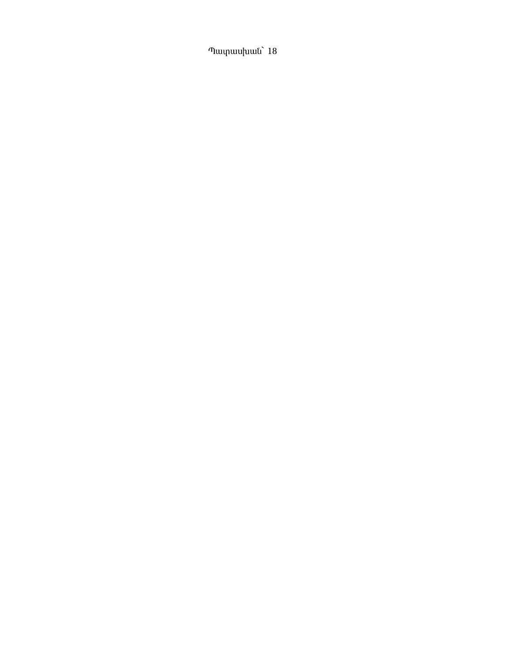Պատասխան` 18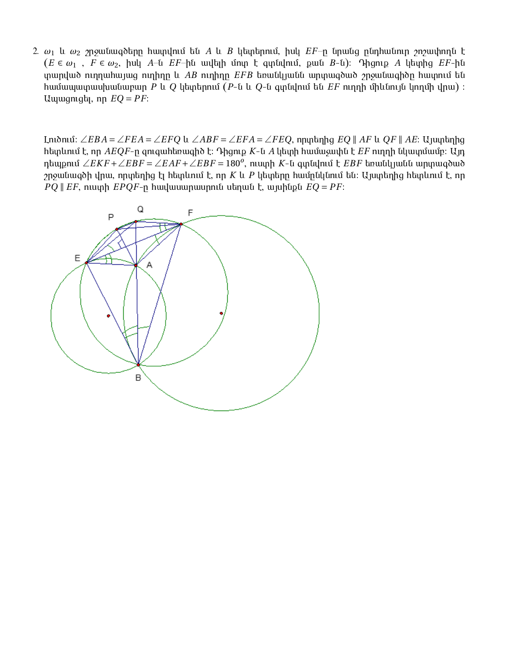2.  $\omega_1$  և  $\omega_2$  շրջանագծերը հատվում են A և B կետերում, իսկ  $EF$ -ը նրանց ընդհանուր շոշափողն է  $(E \in \omega_1$ ,  $F \in \omega_2$ , իսկ A-ն  $EF$ -ին ավելի մոտ է գտնվում, քան B-ն): Դիցուք A կետրից  $EF$ -ին տարված ուղղահայաց ուղիղը և AB ուղիղը EFB եռանկյանն արտագծած շրջանագիծը հատում են hամապատասխանաբար P և Q կետերում (P-ն և Q-ն գտնվում են  $EF$  ուղղի միևնույն կողմի վրա) ։ Uuuugnigti, nn  $EQ = PF$ :

Lnioniu:  $\angle EBA = \angle FEA = \angle EFO$  u  $\angle ABF = \angle EFA = \angle FEQ$ , nniutinng EQ || AF u QF || AE: Ujuuntinng hետևում է, որ  $ABQF$ -ը զուգահեռագիծ է։ Դիցուք  $K$ -ն  $A$  կետի համաչափն է  $EF$  ուղղի նկատմամբ։ Այդ դեպքում ∠ $EKF + \angle EBF = \angle EAF + \angle EBF = 180^o$ , ուստի K-ն գտնվում է  $EBF$  եռանկյանն արտագծած  $p$ րջանագծի վրա, որտեղից էլ հետևում է, որ  $K$  և  $P$  կետերը համընկնում են։ Այստեղից հետևում է, որ  $PQ \parallel EF$ , ուստի  $EPQF$ -ը հավասարասրուն սեղան է, այսինքն  $EQ = PF$ :

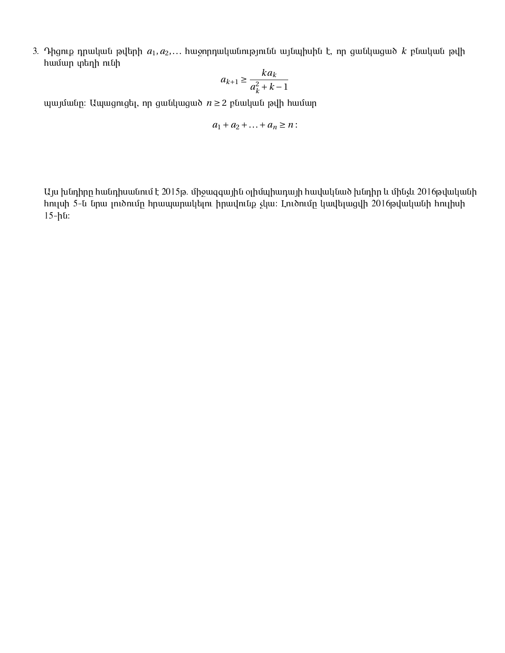3. Դիցուք դրական թվերի  $a_1, a_2,...$  hաջորդականությունն այնպիսին է, որ ցանկացած  $k$  բնական թվի hամար տեղի ունի

$$
a_{k+1} \ge \frac{ka_k}{a_k^2 + k - 1}
$$

 $m$ արմանը: Ապացուցել, որ ցանկացած  $n \geq 2$  բնական թվի համար

$$
a_1+a_2+\ldots+a_n\geq n:
$$

 $U$ յս խնդիրը հանդիսանում է 2015թ. միջազգային օլիմպիադայի հավակնած խնդիր և մինչև 2016թվականի hnւլսի 5-ն նրա լուծումը հրապարակելու իրավունք չկա: Լուծումը կավելացվի 2016թվականի hուլիսի  $15-h<sub>u</sub>$ :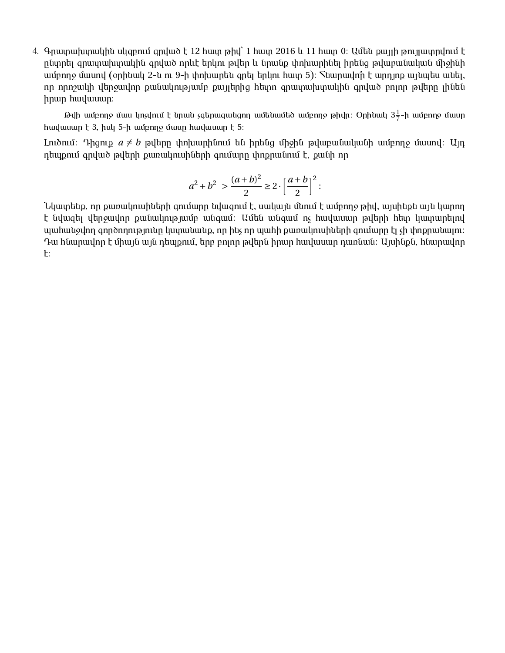4. Գրատախտակին սկզբում գրված է 12 հատ թիվ` 1 հատ 2016 և 11 հատ 0: Ամեն քայլի թույլատրվում է րնտրել գրատախտակին գրված որևէ երկու թվեր և նրանք փոխարինել իրենց թվաբանական միջինի uu pnn ամասով (օրինակ 2-ն ու 9-ի փոխարեն գրել երկու հատ 5): Տնարավո՞ր է արդյոք այնպես անել, nn nnnշակի վերջավոր քանակությամբ քայլերից hետո գրատախտակին գրված բոյոր թվերը լինեն hnwn hwywuwn:

Թվի ամբողջ մաս կոչվում է նրան չգերազանցող ամենամեծ ամբողջ թիվը։ Օրինակ 3 $\frac{1}{7}$  $\frac{1}{7}$ -ի ամբողջ մասը hավասար է 3, իսկ 5-ի ամբողջ մասը հավասար է 5:

Lnւծում։ Դիցուք  $a \neq b$  թվերը փոխարինում են իրենց միջին թվաբանականի ամբողջ մասով։ Այդ  $n$ եպքում գրված թվերի քառակուսիների գումարը փոքրանում է, քանի որ

$$
a^2 + b^2 > \frac{(a+b)^2}{2} \ge 2 \cdot \left[\frac{a+b}{2}\right]^2:
$$

Նկատենք, որ քառակուսիների գումարը նվացում է, սակայն մնում է ամբողջ թիվ, այսինքն այն կարող է նվազել վերջավոր քանակությամբ անգամ։ Ամեն անգամ ոչ հավասար թվերի հետ կատարելով <u>պահանջվող գործողությունը կստանանք, որ ինչ որ պահի քառակուսիների գումարը էլ չի փոքրանալու։</u> Դա հնարավոր է միայն այն դեպքում, երբ բոյոր թվերն իրար հավասար դառնան։ Այսինքն, հնարավոր :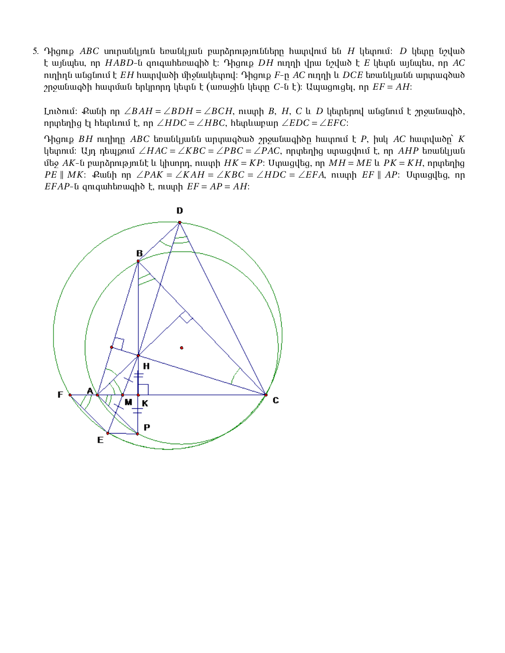5. Դիցուք *ABC* սուրանկյուն եռանկյան բարձրությունները հատվում են *H* կետում։ *D* կետո նշված է այնպես, որ  $HABD$ -ն զուգահեռագիծ է։ Դիցուք  $DH$  ուղղի վրա նշված է  $E$  կետն այնպես, որ  $AC$  $m$ րերն անցնում է *EH* hատվածի միջնակետով։ Դիցուք  $F$ -ը AC ուղղի և DCE եռանկյանն արտագծած  $r$ յոջանացծի հատման երկրորդ կետն է (առաջին կետը  $C$ -ն է): Ապազուցել, որ  $EF = AH$ :

Lnı ծում: Քանի որ ∠*BAH* = ∠*BDH* = ∠*BCH*, ուստի *B*, *H*, *C* և *D* կետերով անցնում է շրջանագիծ, orteic l het optimal l and  $\angle HDC = \angle HBC$ , het abarra  $\angle EDC = \angle EFC$ :

 $\Omega$  Ahgnip *BH* ninhnn *ABC* tinuity *putu uniqua artaga riannangi thatowing F*, hult *AC* hat  $\Omega$  *K* կետում։ Այդ դեպքում ∠*HAC* = ∠*KBC* = ∠*PBC* = ∠*PAC*, որտեղից ստացվում է, որ *AHP* եռանկյան մեջ *AK*-ն բարձրությունէ և կիսորդ, ուստի  $HK = KP$ : Մտազվեց, որ  $MH = ME$  և  $PK = KH$ , որտեղից *PE* ∥ *MK*:  $\Omega$ umih np ∠*PAK* = ∠*KAH* = ∠*KBC* = ∠*HDC* = ∠*EFA*, nuunh *EF* ∥ *AP*: Umunglag, np  $EFAP$ -*l* qniq uh languah  $EF = AP = AH$ :

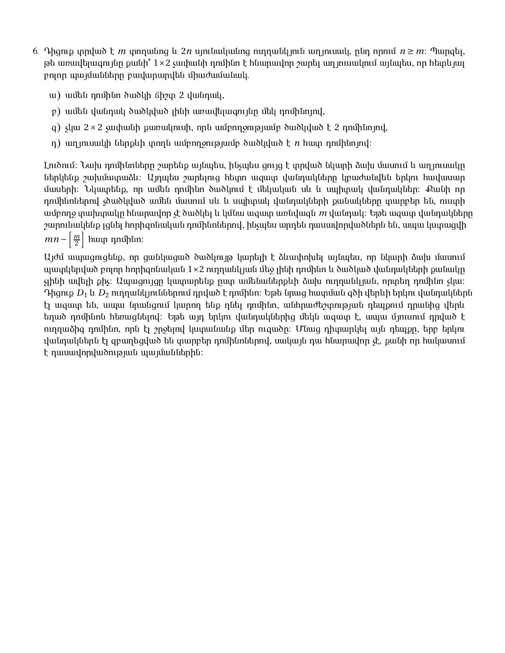- 6. Դիցուք տրված է *m* տողանոց և 2*n* սյունականոց ուղղանկյուն աղյուսակ, ընդ որում  $n \geq m$ : Պարցել,  $p$ ե առավելագույնը քանի՞  $1\times 2$  չափանի դոմինո է հնարավոր շարել աղյուսակում այնպես, որ հետևյալ բոլոր պայմանները բավարարվեն միաժամանակ.
	- $\mu$ ) ամեն դոմինո ծածկի ճիշտ 2 վանդակ,
	- $p$ ) ամեն վանդակ ծածկված լինի առավելագույնը մեկ դոմինոյով,
	- q) չկա  $2 \times 2$  չափանի քառակուսի, որն ամբողջությամբ ծածկված է 2 դոմինոյով,
	- n) un intuul tumbuh unnu uu <u>inng juure dubli</u>umb  $\sum n$  huun nnu hat indi

Լուծում։ Նախ դոմինոները շարենք այնպես, ինչպես ցույց է տրված նկարի ձախ մասում և աղյուսակը ներկենք շախմատաձև։ Այդպես շարելուց հետո ազատ վանդակները կբաժանվեն երկու հավասար մասերի։ Նկատենք, որ ամեն դոմինո ծածկում է մեկական սև և սպիտակ վանդակներ։ Քանի որ դոմինոներով չծածկված ամեն մասում սև և սպիտակ վանդակների քանակները տարբեր են, ուստի ամբողջ տախտակը հնարավոր չէ ծածկել և կմնա ազատ առնվազն *m* վանդակ։ Եթե ազատ վանդակները  $\jmath$ արունակենք լցնել hորիզոնական դոմինոներով, ինչպես արդեն դասավորվածներն են, ապա կստացվի  $mn - \left[\frac{m}{2}\right]$ 2  $|$  hաւր դոմինո։

Այժմ ապացուցենք, որ ցանկացած ծածկույթ կարելի է ձևափոխել այնպես, որ նկարի ձախ մասում աատկերված բոլոր hորիցոնական 1×2 ուղղանկյան մեջ լինի դոմինո և ծածկած վանդակների քանակը  $\mathfrak g$ ինի ավելի քի $\mathfrak s$ : Ապացույցը կատարենք ըստ ամենաներքևի ձախ ուղղանկյան, որտեղ դոմինո չկա։ Դիցուք  $D_1$  և  $D_2$  ուղղանկյուններում դրված է դոմինո։ Եթե նրաց հատման գծի վերևի երկու վանդակներն էլ ազատ են, ապա նրանցում կարող ենք դնել դոմինո, անհրաժեշտության դեպքում դրանից վերև եղած դոմինոն հեռացնելով։ Եթե այդ երկու վանդակներից մեկն ազատ է, ապա մյուսում դրված է ուղղաձիգ դոմինո, որն էլ շրջելով կստանանք մեր ուզածը։ Մնազ դիտարկել այն դեպքը, երբ երկու վանդակներն էլ զբաղեցված են տարբեր դոմինոներով, սակայն դա հնարավոր չէ, քանի որ հակասում է դասավորվածության պայմաններին։